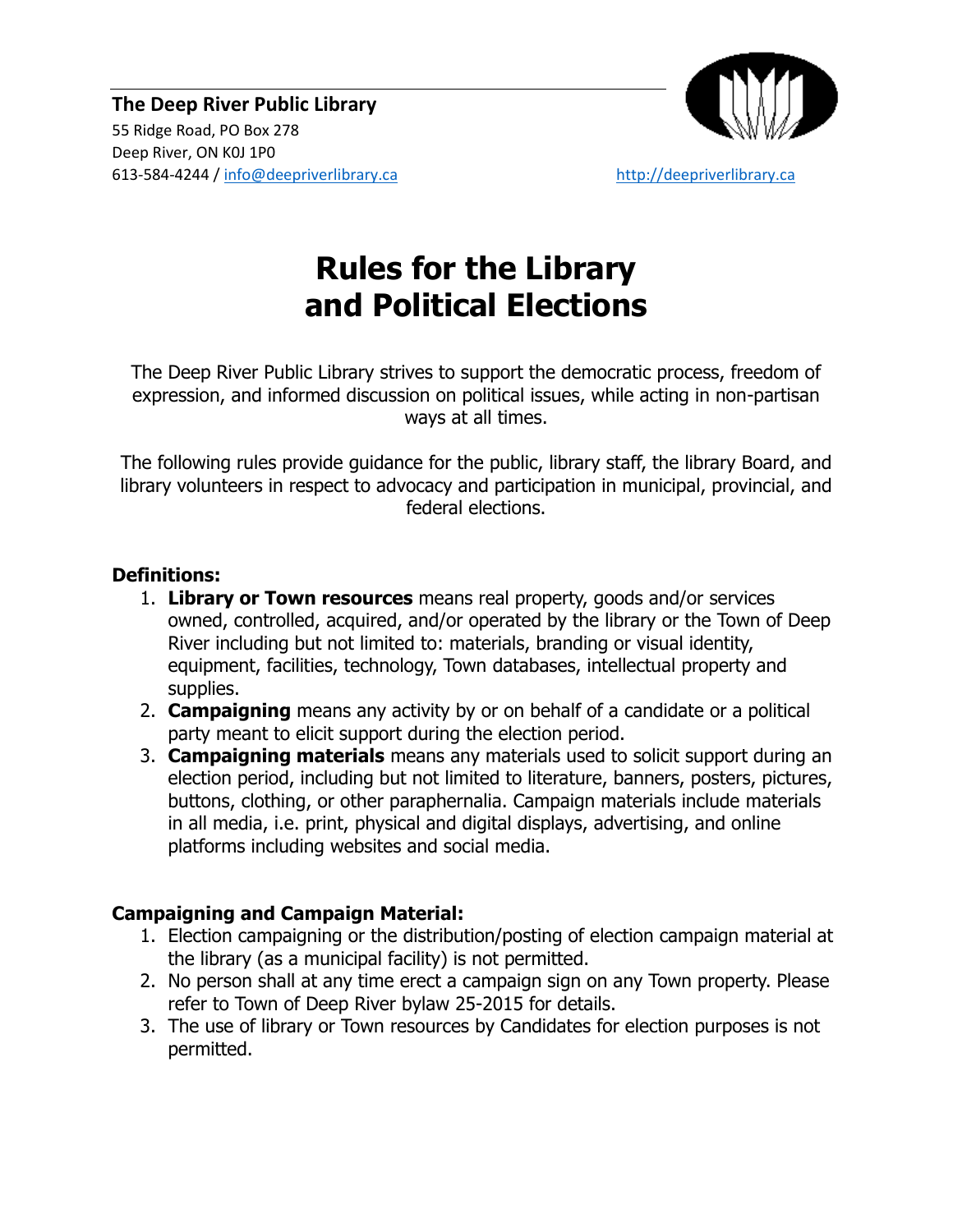**The Deep River Public Library** 55 Ridge Road, PO Box 278 Deep River, ON K0J 1P0 613-584-4244 [/ info@deepriverlibrary.ca](mailto:info@deepriverlibrary.ca) [http://deepriverlibrary.ca](http://deepriverlibrary.ca/)



# **Rules for the Library and Political Elections**

The Deep River Public Library strives to support the democratic process, freedom of expression, and informed discussion on political issues, while acting in non-partisan ways at all times.

The following rules provide guidance for the public, library staff, the library Board, and library volunteers in respect to advocacy and participation in municipal, provincial, and federal elections.

## **Definitions:**

- 1. **Library or Town resources** means real property, goods and/or services owned, controlled, acquired, and/or operated by the library or the Town of Deep River including but not limited to: materials, branding or visual identity, equipment, facilities, technology, Town databases, intellectual property and supplies.
- 2. **Campaigning** means any activity by or on behalf of a candidate or a political party meant to elicit support during the election period.
- 3. **Campaigning materials** means any materials used to solicit support during an election period, including but not limited to literature, banners, posters, pictures, buttons, clothing, or other paraphernalia. Campaign materials include materials in all media, i.e. print, physical and digital displays, advertising, and online platforms including websites and social media.

## **Campaigning and Campaign Material:**

- 1. Election campaigning or the distribution/posting of election campaign material at the library (as a municipal facility) is not permitted.
- 2. No person shall at any time erect a campaign sign on any Town property. Please refer to Town of Deep River bylaw 25-2015 for details.
- 3. The use of library or Town resources by Candidates for election purposes is not permitted.